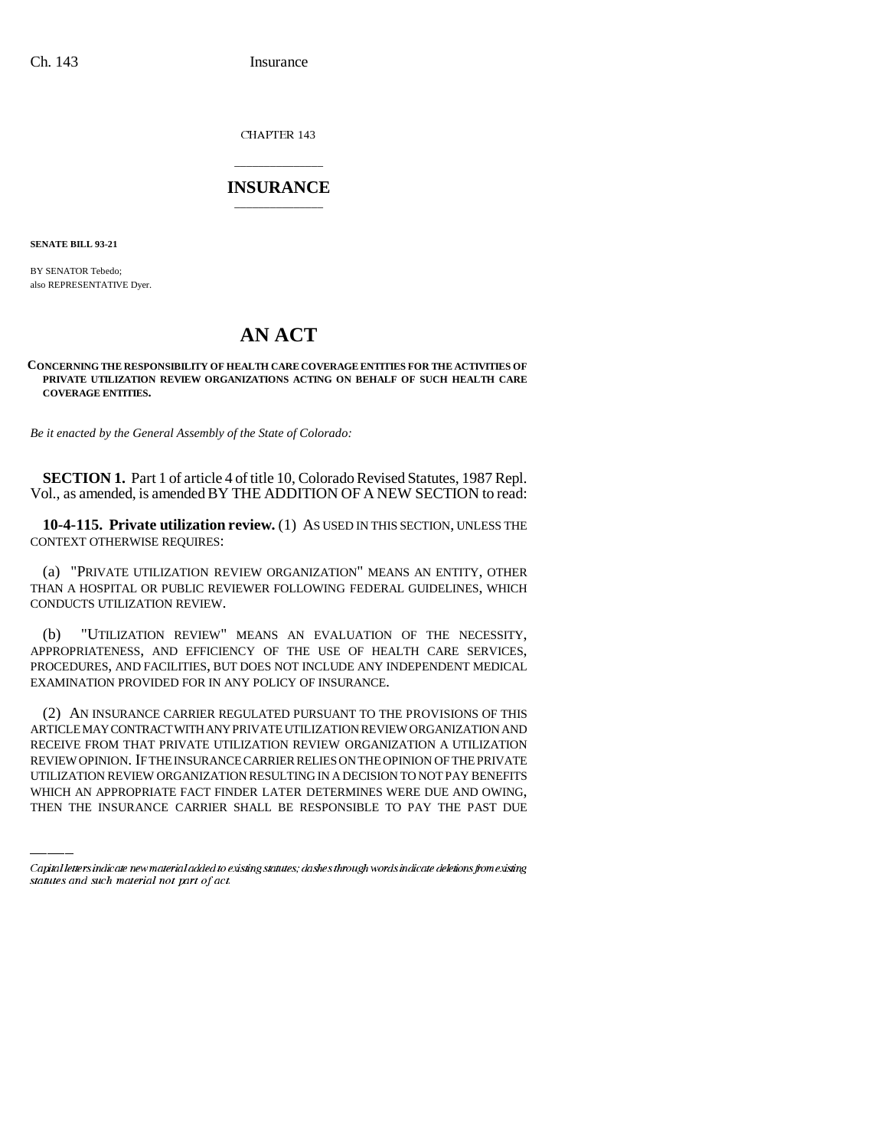Ch. 143 Insurance

CHAPTER 143

## \_\_\_\_\_\_\_\_\_\_\_\_\_\_\_ **INSURANCE** \_\_\_\_\_\_\_\_\_\_\_\_\_\_\_

**SENATE BILL 93-21**

BY SENATOR Tebedo; also REPRESENTATIVE Dyer.

## **AN ACT**

## **CONCERNING THE RESPONSIBILITY OF HEALTH CARE COVERAGE ENTITIES FOR THE ACTIVITIES OF PRIVATE UTILIZATION REVIEW ORGANIZATIONS ACTING ON BEHALF OF SUCH HEALTH CARE COVERAGE ENTITIES.**

*Be it enacted by the General Assembly of the State of Colorado:*

**SECTION 1.** Part 1 of article 4 of title 10, Colorado Revised Statutes, 1987 Repl. Vol., as amended, is amended BY THE ADDITION OF A NEW SECTION to read:

**10-4-115. Private utilization review.** (1) AS USED IN THIS SECTION, UNLESS THE CONTEXT OTHERWISE REQUIRES:

(a) "PRIVATE UTILIZATION REVIEW ORGANIZATION" MEANS AN ENTITY, OTHER THAN A HOSPITAL OR PUBLIC REVIEWER FOLLOWING FEDERAL GUIDELINES, WHICH CONDUCTS UTILIZATION REVIEW.

(b) "UTILIZATION REVIEW" MEANS AN EVALUATION OF THE NECESSITY, APPROPRIATENESS, AND EFFICIENCY OF THE USE OF HEALTH CARE SERVICES, PROCEDURES, AND FACILITIES, BUT DOES NOT INCLUDE ANY INDEPENDENT MEDICAL EXAMINATION PROVIDED FOR IN ANY POLICY OF INSURANCE.

RECEIVE FROM THAT PRIVATE UTILIZATION REVIEW ORGANIZATION A UTILIZATION (2) AN INSURANCE CARRIER REGULATED PURSUANT TO THE PROVISIONS OF THIS ARTICLE MAY CONTRACT WITH ANY PRIVATE UTILIZATION REVIEW ORGANIZATION AND REVIEW OPINION. IF THE INSURANCE CARRIER RELIES ON THE OPINION OF THE PRIVATE UTILIZATION REVIEW ORGANIZATION RESULTING IN A DECISION TO NOT PAY BENEFITS WHICH AN APPROPRIATE FACT FINDER LATER DETERMINES WERE DUE AND OWING, THEN THE INSURANCE CARRIER SHALL BE RESPONSIBLE TO PAY THE PAST DUE

Capital letters indicate new material added to existing statutes; dashes through words indicate deletions from existing statutes and such material not part of act.